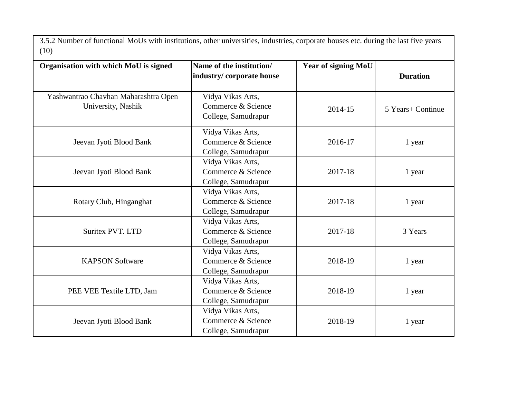3.5.2 Number of functional MoUs with institutions, other universities, industries, corporate houses etc. during the last five years (10)

| Organisation with which MoU is signed                      | Name of the institution/<br>industry/corporate house           | <b>Year of signing MoU</b> | <b>Duration</b>   |
|------------------------------------------------------------|----------------------------------------------------------------|----------------------------|-------------------|
| Yashwantrao Chavhan Maharashtra Open<br>University, Nashik | Vidya Vikas Arts,<br>Commerce & Science<br>College, Samudrapur | 2014-15                    | 5 Years+ Continue |
| Jeevan Jyoti Blood Bank                                    | Vidya Vikas Arts,<br>Commerce & Science<br>College, Samudrapur | 2016-17                    | 1 year            |
| Jeevan Jyoti Blood Bank                                    | Vidya Vikas Arts,<br>Commerce & Science<br>College, Samudrapur | 2017-18                    | 1 year            |
| Rotary Club, Hinganghat                                    | Vidya Vikas Arts,<br>Commerce & Science<br>College, Samudrapur | 2017-18                    | 1 year            |
| <b>Suritex PVT. LTD</b>                                    | Vidya Vikas Arts,<br>Commerce & Science<br>College, Samudrapur | 2017-18                    | 3 Years           |
| <b>KAPSON Software</b>                                     | Vidya Vikas Arts,<br>Commerce & Science<br>College, Samudrapur | 2018-19                    | 1 year            |
| PEE VEE Textile LTD, Jam                                   | Vidya Vikas Arts,<br>Commerce & Science<br>College, Samudrapur | 2018-19                    | 1 year            |
| Jeevan Jyoti Blood Bank                                    | Vidya Vikas Arts,<br>Commerce & Science<br>College, Samudrapur | 2018-19                    | 1 year            |